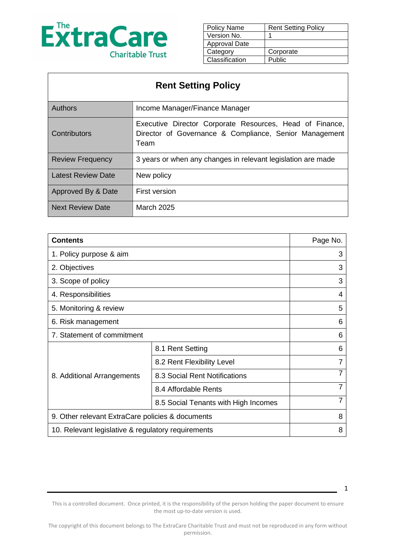

| Policy Name          | <b>Rent Setting Policy</b> |
|----------------------|----------------------------|
| Version No.          |                            |
| <b>Approval Date</b> |                            |
| Category             | Corporate                  |
| Classification       | Public                     |
|                      |                            |

| <b>Rent Setting Policy</b> |                                                                                                                            |  |
|----------------------------|----------------------------------------------------------------------------------------------------------------------------|--|
| <b>Authors</b>             | Income Manager/Finance Manager                                                                                             |  |
| Contributors               | Executive Director Corporate Resources, Head of Finance,<br>Director of Governance & Compliance, Senior Management<br>Team |  |
| <b>Review Frequency</b>    | 3 years or when any changes in relevant legislation are made                                                               |  |
| <b>Latest Review Date</b>  | New policy                                                                                                                 |  |
| Approved By & Date         | <b>First version</b>                                                                                                       |  |
| <b>Next Review Date</b>    | <b>March 2025</b>                                                                                                          |  |

| <b>Contents</b>                                    |                                      | Page No. |
|----------------------------------------------------|--------------------------------------|----------|
| 1. Policy purpose & aim                            |                                      | 3        |
| 2. Objectives                                      |                                      | 3        |
| 3. Scope of policy                                 |                                      | 3        |
| 4. Responsibilities                                |                                      | 4        |
| 5. Monitoring & review                             |                                      | 5        |
| 6. Risk management                                 |                                      | 6        |
| 7. Statement of commitment                         |                                      | 6        |
| 8. Additional Arrangements                         | 8.1 Rent Setting                     | 6        |
|                                                    | 8.2 Rent Flexibility Level           |          |
|                                                    | 8.3 Social Rent Notifications        |          |
|                                                    | 8.4 Affordable Rents                 |          |
|                                                    | 8.5 Social Tenants with High Incomes | 7        |
| 9. Other relevant ExtraCare policies & documents   |                                      | 8        |
| 10. Relevant legislative & regulatory requirements |                                      | 8        |

This is a controlled document. Once printed, it is the responsibility of the person holding the paper document to ensure the most up-to-date version is used.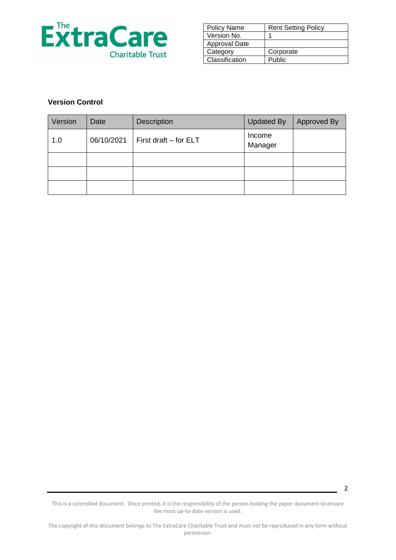

| <b>Policy Name</b>   | <b>Rent Setting Policy</b> |
|----------------------|----------------------------|
| Version No.          |                            |
| <b>Approval Date</b> |                            |
| Category             | Corporate                  |
| Classification       | Public                     |

### **Version Control**

| Version | Date       | <b>Description</b>      | <b>Updated By</b> | Approved By |
|---------|------------|-------------------------|-------------------|-------------|
| 1.0     | 06/10/2021 | First draft $-$ for ELT | Income<br>Manager |             |
|         |            |                         |                   |             |
|         |            |                         |                   |             |
|         |            |                         |                   |             |

This is a controlled document. Once printed, it is the responsibility of the person holding the paper document to ensure the most up-to-date version is used.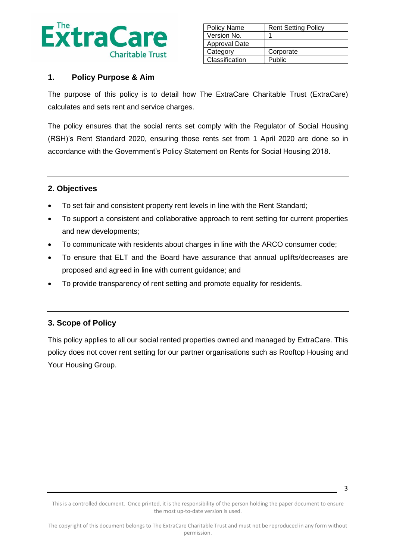

| <b>Policy Name</b> | <b>Rent Setting Policy</b> |
|--------------------|----------------------------|
| Version No.        |                            |
| Approval Date      |                            |
| Category           | Corporate                  |
| Classification     | Public                     |

#### **1. Policy Purpose & Aim**

The purpose of this policy is to detail how The ExtraCare Charitable Trust (ExtraCare) calculates and sets rent and service charges.

The policy ensures that the social rents set comply with the Regulator of Social Housing (RSH)'s Rent Standard 2020, ensuring those rents set from 1 April 2020 are done so in accordance with the Government's Policy Statement on Rents for Social Housing 2018.

### **2. Objectives**

- To set fair and consistent property rent levels in line with the Rent Standard;
- To support a consistent and collaborative approach to rent setting for current properties and new developments;
- To communicate with residents about charges in line with the ARCO consumer code;
- To ensure that ELT and the Board have assurance that annual uplifts/decreases are proposed and agreed in line with current guidance; and
- To provide transparency of rent setting and promote equality for residents.

### **3. Scope of Policy**

This policy applies to all our social rented properties owned and managed by ExtraCare. This policy does not cover rent setting for our partner organisations such as Rooftop Housing and Your Housing Group.

This is a controlled document. Once printed, it is the responsibility of the person holding the paper document to ensure the most up-to-date version is used.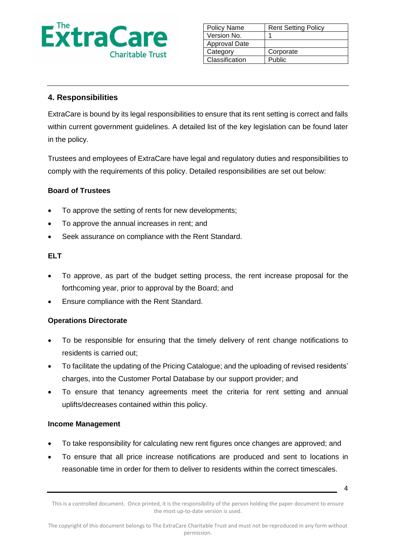

| Policy Name          | <b>Rent Setting Policy</b> |
|----------------------|----------------------------|
| Version No.          |                            |
| <b>Approval Date</b> |                            |
| Category             | Corporate                  |
| Classification       | Public                     |

## **4. Responsibilities**

ExtraCare is bound by its legal responsibilities to ensure that its rent setting is correct and falls within current government guidelines. A detailed list of the key legislation can be found later in the policy.

Trustees and employees of ExtraCare have legal and regulatory duties and responsibilities to comply with the requirements of this policy. Detailed responsibilities are set out below:

### **Board of Trustees**

- To approve the setting of rents for new developments;
- To approve the annual increases in rent; and
- Seek assurance on compliance with the Rent Standard.

#### **ELT**

- To approve, as part of the budget setting process, the rent increase proposal for the forthcoming year, prior to approval by the Board; and
- Ensure compliance with the Rent Standard.

#### **Operations Directorate**

- To be responsible for ensuring that the timely delivery of rent change notifications to residents is carried out;
- To facilitate the updating of the Pricing Catalogue; and the uploading of revised residents' charges, into the Customer Portal Database by our support provider; and
- To ensure that tenancy agreements meet the criteria for rent setting and annual uplifts/decreases contained within this policy.

#### **Income Management**

- To take responsibility for calculating new rent figures once changes are approved; and
- To ensure that all price increase notifications are produced and sent to locations in reasonable time in order for them to deliver to residents within the correct timescales.

This is a controlled document. Once printed, it is the responsibility of the person holding the paper document to ensure the most up-to-date version is used.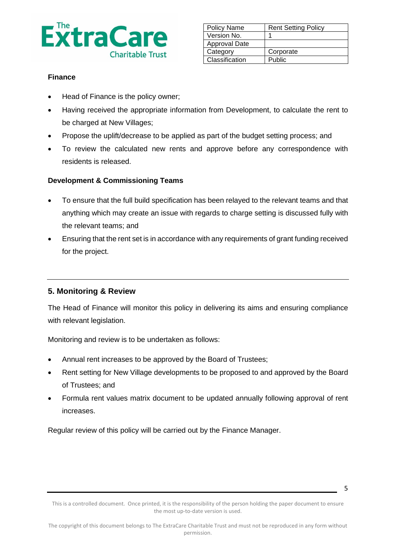

| <b>Policy Name</b> | <b>Rent Setting Policy</b> |
|--------------------|----------------------------|
| Version No.        |                            |
| Approval Date      |                            |
| Category           | Corporate                  |
| Classification     | Public                     |

#### **Finance**

- Head of Finance is the policy owner;
- Having received the appropriate information from Development, to calculate the rent to be charged at New Villages;
- Propose the uplift/decrease to be applied as part of the budget setting process; and
- To review the calculated new rents and approve before any correspondence with residents is released.

#### **Development & Commissioning Teams**

- To ensure that the full build specification has been relayed to the relevant teams and that anything which may create an issue with regards to charge setting is discussed fully with the relevant teams; and
- Ensuring that the rent set is in accordance with any requirements of grant funding received for the project.

### **5. Monitoring & Review**

The Head of Finance will monitor this policy in delivering its aims and ensuring compliance with relevant legislation.

Monitoring and review is to be undertaken as follows:

- Annual rent increases to be approved by the Board of Trustees;
- Rent setting for New Village developments to be proposed to and approved by the Board of Trustees; and
- Formula rent values matrix document to be updated annually following approval of rent increases.

Regular review of this policy will be carried out by the Finance Manager.

This is a controlled document. Once printed, it is the responsibility of the person holding the paper document to ensure the most up-to-date version is used.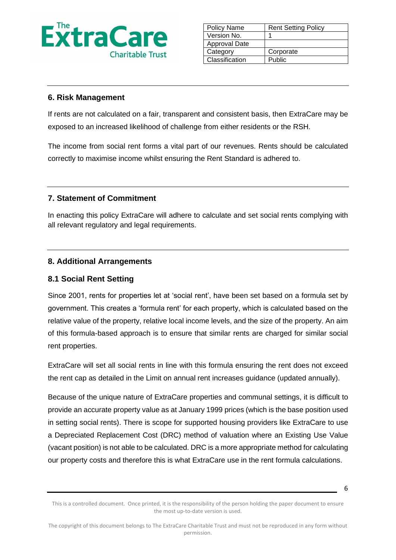

| Policy Name    | <b>Rent Setting Policy</b> |
|----------------|----------------------------|
| Version No.    |                            |
| Approval Date  |                            |
| Category       | Corporate                  |
| Classification | Public                     |

### **6. Risk Management**

If rents are not calculated on a fair, transparent and consistent basis, then ExtraCare may be exposed to an increased likelihood of challenge from either residents or the RSH.

The income from social rent forms a vital part of our revenues. Rents should be calculated correctly to maximise income whilst ensuring the Rent Standard is adhered to.

### **7. Statement of Commitment**

In enacting this policy ExtraCare will adhere to calculate and set social rents complying with all relevant regulatory and legal requirements.

### **8. Additional Arrangements**

## **8.1 Social Rent Setting**

Since 2001, rents for properties let at 'social rent', have been set based on a formula set by government. This creates a 'formula rent' for each property, which is calculated based on the relative value of the property, relative local income levels, and the size of the property. An aim of this formula-based approach is to ensure that similar rents are charged for similar social rent properties.

ExtraCare will set all social rents in line with this formula ensuring the rent does not exceed the rent cap as detailed in the Limit on annual rent increases guidance (updated annually).

Because of the unique nature of ExtraCare properties and communal settings, it is difficult to provide an accurate property value as at January 1999 prices (which is the base position used in setting social rents). There is scope for supported housing providers like ExtraCare to use a Depreciated Replacement Cost (DRC) method of valuation where an Existing Use Value (vacant position) is not able to be calculated. DRC is a more appropriate method for calculating our property costs and therefore this is what ExtraCare use in the rent formula calculations.

This is a controlled document. Once printed, it is the responsibility of the person holding the paper document to ensure the most up-to-date version is used.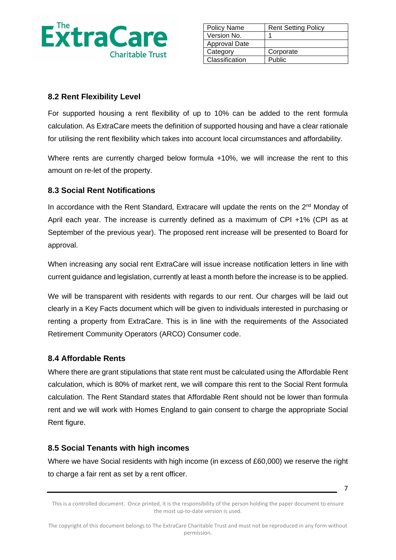

| <b>Policy Name</b> | <b>Rent Setting Policy</b> |
|--------------------|----------------------------|
| Version No.        |                            |
| Approval Date      |                            |
| Category           | Corporate                  |
| Classification     | Public                     |

# **8.2 Rent Flexibility Level**

For supported housing a rent flexibility of up to 10% can be added to the rent formula calculation. As ExtraCare meets the definition of supported housing and have a clear rationale for utilising the rent flexibility which takes into account local circumstances and affordability.

Where rents are currently charged below formula +10%, we will increase the rent to this amount on re-let of the property.

# **8.3 Social Rent Notifications**

In accordance with the Rent Standard, Extracare will update the rents on the 2<sup>nd</sup> Monday of April each year. The increase is currently defined as a maximum of CPI +1% (CPI as at September of the previous year). The proposed rent increase will be presented to Board for approval.

When increasing any social rent ExtraCare will issue increase notification letters in line with current guidance and legislation, currently at least a month before the increase is to be applied.

We will be transparent with residents with regards to our rent. Our charges will be laid out clearly in a Key Facts document which will be given to individuals interested in purchasing or renting a property from ExtraCare. This is in line with the requirements of the Associated Retirement Community Operators (ARCO) Consumer code.

# **8.4 Affordable Rents**

Where there are grant stipulations that state rent must be calculated using the Affordable Rent calculation, which is 80% of market rent, we will compare this rent to the Social Rent formula calculation. The Rent Standard states that Affordable Rent should not be lower than formula rent and we will work with Homes England to gain consent to charge the appropriate Social Rent figure.

# **8.5 Social Tenants with high incomes**

Where we have Social residents with high income (in excess of £60,000) we reserve the right to charge a fair rent as set by a rent officer.

This is a controlled document. Once printed, it is the responsibility of the person holding the paper document to ensure the most up-to-date version is used.